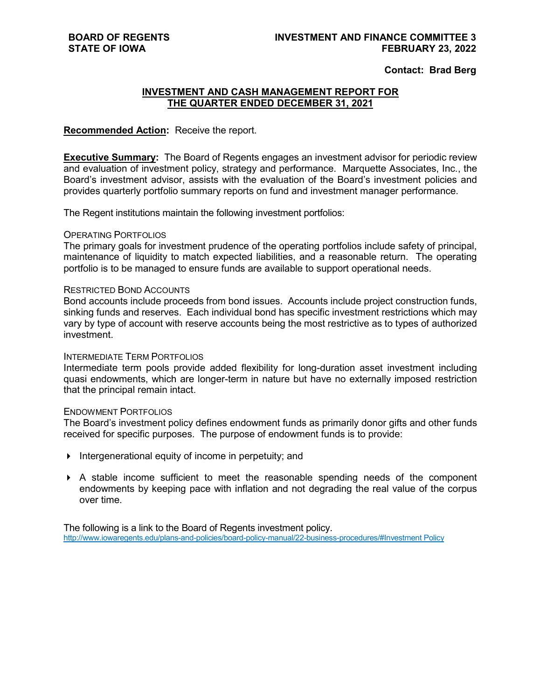### **Contact: Brad Berg**

## **INVESTMENT AND CASH MANAGEMENT REPORT FOR THE QUARTER ENDED DECEMBER 31, 2021**

### **Recommended Action:** Receive the report.

**Executive Summary:** The Board of Regents engages an investment advisor for periodic review and evaluation of investment policy, strategy and performance. Marquette Associates, Inc., the Board's investment advisor, assists with the evaluation of the Board's investment policies and provides quarterly portfolio summary reports on fund and investment manager performance.

The Regent institutions maintain the following investment portfolios:

#### OPERATING PORTFOLIOS

The primary goals for investment prudence of the operating portfolios include safety of principal, maintenance of liquidity to match expected liabilities, and a reasonable return. The operating portfolio is to be managed to ensure funds are available to support operational needs.

#### RESTRICTED BOND ACCOUNTS

Bond accounts include proceeds from bond issues. Accounts include project construction funds, sinking funds and reserves. Each individual bond has specific investment restrictions which may vary by type of account with reserve accounts being the most restrictive as to types of authorized investment.

#### INTERMEDIATE TERM PORTFOLIOS

Intermediate term pools provide added flexibility for long-duration asset investment including quasi endowments, which are longer-term in nature but have no externally imposed restriction that the principal remain intact.

#### ENDOWMENT PORTFOLIOS

The Board's investment policy defines endowment funds as primarily donor gifts and other funds received for specific purposes. The purpose of endowment funds is to provide:

- Intergenerational equity of income in perpetuity; and
- A stable income sufficient to meet the reasonable spending needs of the component endowments by keeping pace with inflation and not degrading the real value of the corpus over time.

The following is a link to the Board of Regents investment policy. [http://www.iowaregents.edu/plans-and-policies/board-policy-manual/22-business-procedures/#Investment Policy](http://www.iowaregents.edu/plans-and-policies/board-policy-manual/22-business-procedures/%23Investment%20Policy)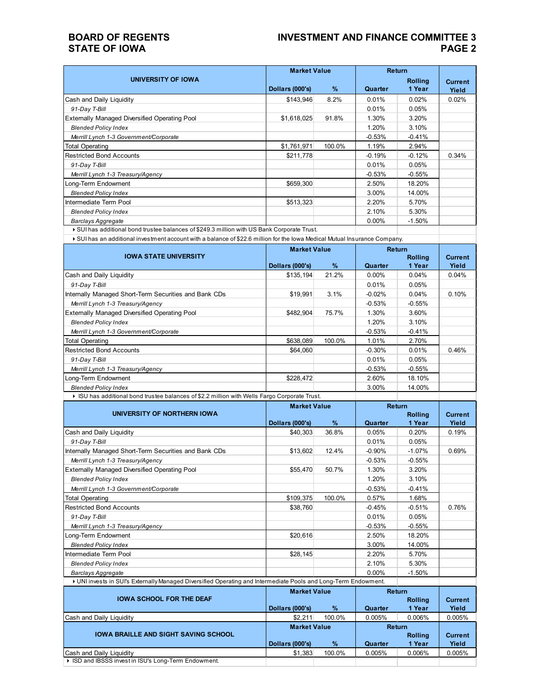## **BOARD OF REGENTS STATE OF IOWA**

## **INVESTMENT AND FINANCE COMMITTEE 3 PAGE 2**

|                                                                                                                            |                               | <b>Market Value</b> |          | <b>Return</b>            |                         |
|----------------------------------------------------------------------------------------------------------------------------|-------------------------------|---------------------|----------|--------------------------|-------------------------|
| UNIVERSITY OF IOWA                                                                                                         | Dollars (000's)               | $\%$                | Quarter  | <b>Rolling</b><br>1 Year | <b>Current</b><br>Yield |
| Cash and Daily Liquidity                                                                                                   | \$143,946                     | 8.2%                | 0.01%    | 0.02%                    | 0.02%                   |
| 91-Day T-Bill                                                                                                              |                               |                     | 0.01%    | 0.05%                    |                         |
| <b>Externally Managed Diversified Operating Pool</b>                                                                       | \$1,618,025                   | 91.8%               | 1.30%    | 3.20%                    |                         |
| <b>Blended Policy Index</b>                                                                                                |                               |                     | 1.20%    | 3.10%                    |                         |
| Merrill Lynch 1-3 Government/Corporate                                                                                     |                               |                     | $-0.53%$ | $-0.41%$                 |                         |
| <b>Total Operating</b>                                                                                                     | \$1,761,971                   | 100.0%              | 1.19%    | 2.94%                    |                         |
| <b>Restricted Bond Accounts</b>                                                                                            | \$211,778                     |                     | $-0.19%$ | $-0.12%$                 | 0.34%                   |
| 91-Day T-Bill                                                                                                              |                               |                     | 0.01%    | 0.05%                    |                         |
| Merrill Lynch 1-3 Treasury/Agency                                                                                          |                               |                     | $-0.53%$ | $-0.55%$                 |                         |
| Long-Term Endowment                                                                                                        | \$659,300                     |                     | 2.50%    | 18.20%                   |                         |
| <b>Blended Policy Index</b>                                                                                                |                               |                     | 3.00%    | 14.00%                   |                         |
| Intermediate Term Pool                                                                                                     | \$513,323                     |                     | 2.20%    | 5.70%                    |                         |
| <b>Blended Policy Index</b>                                                                                                |                               |                     | 2.10%    | 5.30%                    |                         |
| <b>Barclays Aggregate</b>                                                                                                  |                               |                     | $0.00\%$ | $-1.50%$                 |                         |
| ▶ SUI has additional bond trustee balances of \$249.3 million with US Bank Corporate Trust.                                |                               |                     |          |                          |                         |
| ▶ SUI has an additional investment account with a balance of \$22.6 million for the lowa Medical Mutual Insurance Company. |                               |                     |          |                          |                         |
|                                                                                                                            | <b>Billian Alexandre Bank</b> |                     |          | <b>The Associate</b>     |                         |

|                                                                                               | <b>Market Value</b> |        | <b>Return</b> |                |                |  |
|-----------------------------------------------------------------------------------------------|---------------------|--------|---------------|----------------|----------------|--|
| <b>IOWA STATE UNIVERSITY</b>                                                                  |                     |        |               | <b>Rolling</b> | <b>Current</b> |  |
|                                                                                               | Dollars (000's)     | %      | Quarter       | 1 Year         | Yield          |  |
| Cash and Daily Liquidity                                                                      | \$135,194           | 21.2%  | $0.00\%$      | 0.04%          | 0.04%          |  |
| 91-Day T-Bill                                                                                 |                     |        | 0.01%         | 0.05%          |                |  |
| Internally Managed Short-Term Securities and Bank CDs                                         | \$19,991            | 3.1%   | $-0.02%$      | 0.04%          | 0.10%          |  |
| Merrill Lynch 1-3 Treasury/Agency                                                             |                     |        | $-0.53\%$     | $-0.55%$       |                |  |
| <b>Externally Managed Diversified Operating Pool</b>                                          | \$482,904           | 75.7%  | 1.30%         | 3.60%          |                |  |
| <b>Blended Policy Index</b>                                                                   |                     |        | 1.20%         | 3.10%          |                |  |
| Merrill Lynch 1-3 Government/Corporate                                                        |                     |        | $-0.53%$      | $-0.41%$       |                |  |
| <b>Total Operating</b>                                                                        | \$638,089           | 100.0% | 1.01%         | 2.70%          |                |  |
| <b>Restricted Bond Accounts</b>                                                               | \$64,060            |        | $-0.30%$      | 0.01%          | 0.46%          |  |
| 91-Day T-Bill                                                                                 |                     |        | 0.01%         | 0.05%          |                |  |
| Merrill Lynch 1-3 Treasury/Agency                                                             |                     |        | $-0.53%$      | $-0.55%$       |                |  |
| Long-Term Endowment                                                                           | \$228,472           |        | 2.60%         | 18.10%         |                |  |
| <b>Blended Policy Index</b>                                                                   |                     |        | 3.00%         | 14.00%         |                |  |
| ▶ ISU has additional bond trustee balances of \$2.2 million with Wells Fargo Corporate Trust. |                     |        |               |                |                |  |

|                                                                                                                 |                 | <b>Market Value</b> |          | <b>Return</b>  |                |
|-----------------------------------------------------------------------------------------------------------------|-----------------|---------------------|----------|----------------|----------------|
| UNIVERSITY OF NORTHERN IOWA                                                                                     |                 |                     |          | <b>Rolling</b> | <b>Current</b> |
|                                                                                                                 | Dollars (000's) | $\%$                | Quarter  | 1 Year         | Yield          |
| Cash and Daily Liquidity                                                                                        | \$40,303        | 36.8%               | 0.05%    | 0.20%          | 0.19%          |
| 91-Day T-Bill                                                                                                   |                 |                     | 0.01%    | 0.05%          |                |
| Internally Managed Short-Term Securities and Bank CDs                                                           | \$13,602        | 12.4%               | $-0.90%$ | $-1.07%$       | 0.69%          |
| Merrill Lynch 1-3 Treasury/Agency                                                                               |                 |                     | $-0.53%$ | $-0.55%$       |                |
| Externally Managed Diversified Operating Pool                                                                   | \$55,470        | 50.7%               | 1.30%    | 3.20%          |                |
| <b>Blended Policy Index</b>                                                                                     |                 |                     | 1.20%    | 3.10%          |                |
| Merrill Lynch 1-3 Government/Corporate                                                                          |                 |                     | $-0.53%$ | $-0.41%$       |                |
| <b>Total Operating</b>                                                                                          | \$109,375       | 100.0%              | 0.57%    | 1.68%          |                |
| Restricted Bond Accounts                                                                                        | \$38,760        |                     | $-0.45%$ | $-0.51%$       | 0.76%          |
| 91-Day T-Bill                                                                                                   |                 |                     | 0.01%    | 0.05%          |                |
| Merrill Lynch 1-3 Treasury/Agency                                                                               |                 |                     | $-0.53%$ | $-0.55%$       |                |
| Long-Term Endowment                                                                                             | \$20,616        |                     | 2.50%    | 18.20%         |                |
| <b>Blended Policy Index</b>                                                                                     |                 |                     | 3.00%    | 14.00%         |                |
| Intermediate Term Pool                                                                                          | \$28,145        |                     | 2.20%    | 5.70%          |                |
| <b>Blended Policy Index</b>                                                                                     |                 |                     | 2.10%    | 5.30%          |                |
| <b>Barclays Aggregate</b>                                                                                       |                 |                     | $0.00\%$ | $-1.50%$       |                |
| I UNI invests in SUI's Externally Managed Diversified Operating and Intermediate Pools and Long-Term Endowment. |                 |                     |          |                |                |

| <b>IOWA SCHOOL FOR THE DEAF</b>                       | <b>Market Value</b> |        | Return<br><b>Rolling</b> |                | <b>Current</b> |
|-------------------------------------------------------|---------------------|--------|--------------------------|----------------|----------------|
|                                                       | Dollars (000's)     | $\%$   | Quarter                  | 1 Year         | Yield          |
| Cash and Daily Liquidity                              | \$2,211             | 100.0% | 0.005%                   | 0.006%         | 0.005%         |
|                                                       | <b>Market Value</b> |        | Return                   |                |                |
| <b>IOWA BRAILLE AND SIGHT SAVING SCHOOL</b>           |                     |        |                          | <b>Rolling</b> | <b>Current</b> |
|                                                       | Dollars (000's)     | $\%$   | Quarter                  | 1 Year         | Yield          |
| Cash and Daily Liquidity                              | \$1,383             | 100.0% | 0.005%                   | 0.006%         | 0.005%         |
| If ISD and IBSSS invest in ISU's Long-Term Endowment. |                     |        |                          |                |                |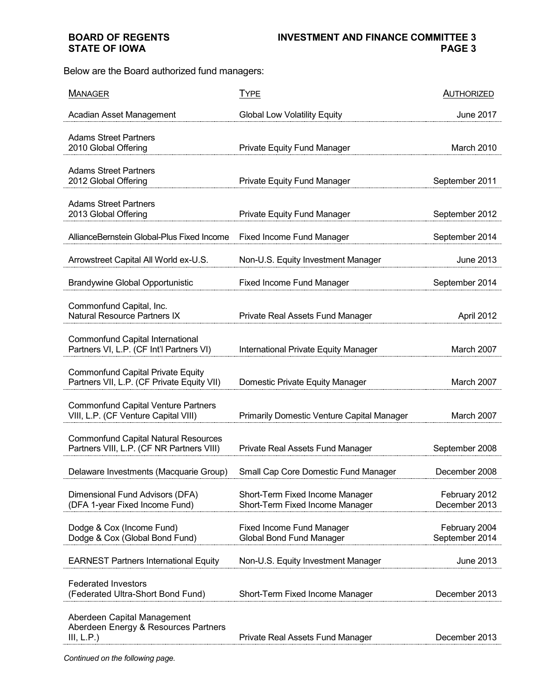# **BOARD OF REGENTS STATE OF IOWA**

Below are the Board authorized fund managers:

| <b>MANAGER</b>                                                                           | <b>TYPE</b>                                                        | <b>AUTHORIZED</b>               |
|------------------------------------------------------------------------------------------|--------------------------------------------------------------------|---------------------------------|
| Acadian Asset Management                                                                 | <b>Global Low Volatility Equity</b>                                | <b>June 2017</b>                |
| <b>Adams Street Partners</b><br>2010 Global Offering                                     | <b>Private Equity Fund Manager</b>                                 | March 2010                      |
| <b>Adams Street Partners</b><br>2012 Global Offering                                     | <b>Private Equity Fund Manager</b>                                 | September 2011                  |
| <b>Adams Street Partners</b><br>2013 Global Offering                                     | <b>Private Equity Fund Manager</b>                                 | September 2012                  |
| AllianceBernstein Global-Plus Fixed Income                                               | <b>Fixed Income Fund Manager</b>                                   | September 2014                  |
| Arrowstreet Capital All World ex-U.S.                                                    | Non-U.S. Equity Investment Manager                                 | June 2013                       |
| <b>Brandywine Global Opportunistic</b>                                                   | <b>Fixed Income Fund Manager</b>                                   | September 2014                  |
| Commonfund Capital, Inc.<br><b>Natural Resource Partners IX</b>                          | Private Real Assets Fund Manager                                   | April 2012                      |
| Commonfund Capital International<br>Partners VI, L.P. (CF Int'l Partners VI)             | International Private Equity Manager                               | March 2007                      |
| <b>Commonfund Capital Private Equity</b><br>Partners VII, L.P. (CF Private Equity VII)   | Domestic Private Equity Manager                                    | March 2007                      |
| <b>Commonfund Capital Venture Partners</b><br>VIII, L.P. (CF Venture Capital VIII)       | Primarily Domestic Venture Capital Manager                         | March 2007                      |
| <b>Commonfund Capital Natural Resources</b><br>Partners VIII, L.P. (CF NR Partners VIII) | Private Real Assets Fund Manager                                   | September 2008                  |
| Delaware Investments (Macquarie Group)                                                   | Small Cap Core Domestic Fund Manager                               | December 2008                   |
| Dimensional Fund Advisors (DFA)<br>(DFA 1-year Fixed Income Fund)                        | Short-Term Fixed Income Manager<br>Short-Term Fixed Income Manager | February 2012<br>December 2013  |
| Dodge & Cox (Income Fund)<br>Dodge & Cox (Global Bond Fund)                              | <b>Fixed Income Fund Manager</b><br>Global Bond Fund Manager       | February 2004<br>September 2014 |
| <b>EARNEST Partners International Equity</b>                                             | Non-U.S. Equity Investment Manager                                 | June 2013                       |
| <b>Federated Investors</b><br>(Federated Ultra-Short Bond Fund)                          | Short-Term Fixed Income Manager                                    | December 2013                   |
| Aberdeen Capital Management<br>Aberdeen Energy & Resources Partners<br>III, L.P.         | Private Real Assets Fund Manager                                   | December 2013                   |

*Continued on the following page.*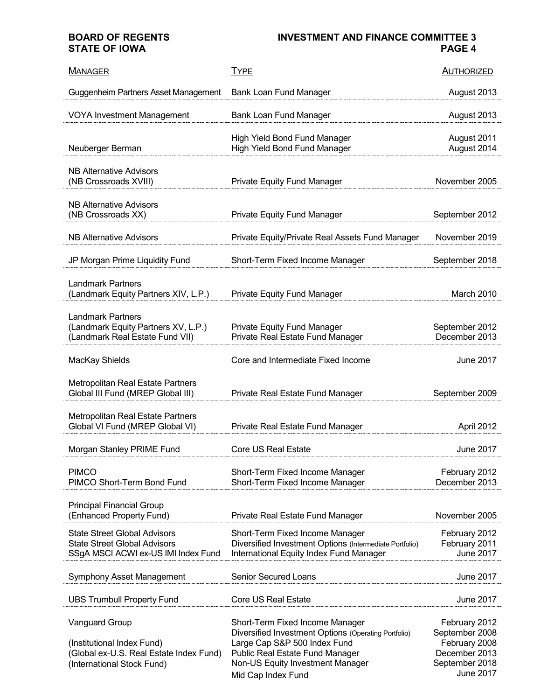**BOARD OF REGENTS STATE OF IOWA**

# **INVESTMENT AND FINANCE COMMITTEE 3 PAGE 4**

| <b>MANAGER</b>                                                                                                               | <b>TYPE</b>                                                                                                                                                                                                          | <b>AUTHORIZED</b>                                                                                       |
|------------------------------------------------------------------------------------------------------------------------------|----------------------------------------------------------------------------------------------------------------------------------------------------------------------------------------------------------------------|---------------------------------------------------------------------------------------------------------|
| Guggenheim Partners Asset Management                                                                                         | Bank Loan Fund Manager                                                                                                                                                                                               | August 2013                                                                                             |
| <b>VOYA Investment Management</b>                                                                                            | Bank Loan Fund Manager                                                                                                                                                                                               | August 2013                                                                                             |
| Neuberger Berman                                                                                                             | <b>High Yield Bond Fund Manager</b><br><b>High Yield Bond Fund Manager</b>                                                                                                                                           | August 2011<br>August 2014                                                                              |
| <b>NB Alternative Advisors</b><br>(NB Crossroads XVIII)                                                                      | Private Equity Fund Manager                                                                                                                                                                                          | November 2005                                                                                           |
| <b>NB Alternative Advisors</b><br>(NB Crossroads XX)                                                                         | <b>Private Equity Fund Manager</b>                                                                                                                                                                                   | September 2012                                                                                          |
| <b>NB Alternative Advisors</b>                                                                                               | Private Equity/Private Real Assets Fund Manager                                                                                                                                                                      | November 2019                                                                                           |
| JP Morgan Prime Liquidity Fund                                                                                               | Short-Term Fixed Income Manager                                                                                                                                                                                      | September 2018                                                                                          |
| <b>Landmark Partners</b><br>(Landmark Equity Partners XIV, L.P.)                                                             | <b>Private Equity Fund Manager</b>                                                                                                                                                                                   | March 2010                                                                                              |
| <b>Landmark Partners</b><br>(Landmark Equity Partners XV, L.P.)<br>(Landmark Real Estate Fund VII)                           | Private Equity Fund Manager<br>Private Real Estate Fund Manager                                                                                                                                                      | September 2012<br>December 2013                                                                         |
| MacKay Shields                                                                                                               | Core and Intermediate Fixed Income                                                                                                                                                                                   | <b>June 2017</b>                                                                                        |
| <b>Metropolitan Real Estate Partners</b><br>Global III Fund (MREP Global III)                                                | Private Real Estate Fund Manager                                                                                                                                                                                     | September 2009                                                                                          |
| <b>Metropolitan Real Estate Partners</b><br>Global VI Fund (MREP Global VI)                                                  | Private Real Estate Fund Manager                                                                                                                                                                                     | April 2012                                                                                              |
| Morgan Stanley PRIME Fund                                                                                                    | <b>Core US Real Estate</b>                                                                                                                                                                                           | June 2017                                                                                               |
| <b>PIMCO</b><br>PIMCO Short-Term Bond Fund                                                                                   | Short-Term Fixed Income Manager<br>Short-Term Fixed Income Manager                                                                                                                                                   | February 2012<br>December 2013                                                                          |
| <b>Principal Financial Group</b><br>(Enhanced Property Fund)                                                                 | Private Real Estate Fund Manager                                                                                                                                                                                     | November 2005                                                                                           |
| <b>State Street Global Advisors</b><br><b>State Street Global Advisors</b><br>SSgA MSCI ACWI ex-US IMI Index Fund            | Short-Term Fixed Income Manager<br>Diversified Investment Options (Intermediate Portfolio)<br>International Equity Index Fund Manager                                                                                | February 2012<br>February 2011<br><b>June 2017</b>                                                      |
| Symphony Asset Management                                                                                                    | <b>Senior Secured Loans</b>                                                                                                                                                                                          | <b>June 2017</b>                                                                                        |
| <b>UBS Trumbull Property Fund</b>                                                                                            | <b>Core US Real Estate</b>                                                                                                                                                                                           | <b>June 2017</b>                                                                                        |
| <b>Vanguard Group</b><br>(Institutional Index Fund)<br>(Global ex-U.S. Real Estate Index Fund)<br>(International Stock Fund) | Short-Term Fixed Income Manager<br>Diversified Investment Options (Operating Portfolio)<br>Large Cap S&P 500 Index Fund<br>Public Real Estate Fund Manager<br>Non-US Equity Investment Manager<br>Mid Cap Index Fund | February 2012<br>September 2008<br>February 2008<br>December 2013<br>September 2018<br><b>June 2017</b> |